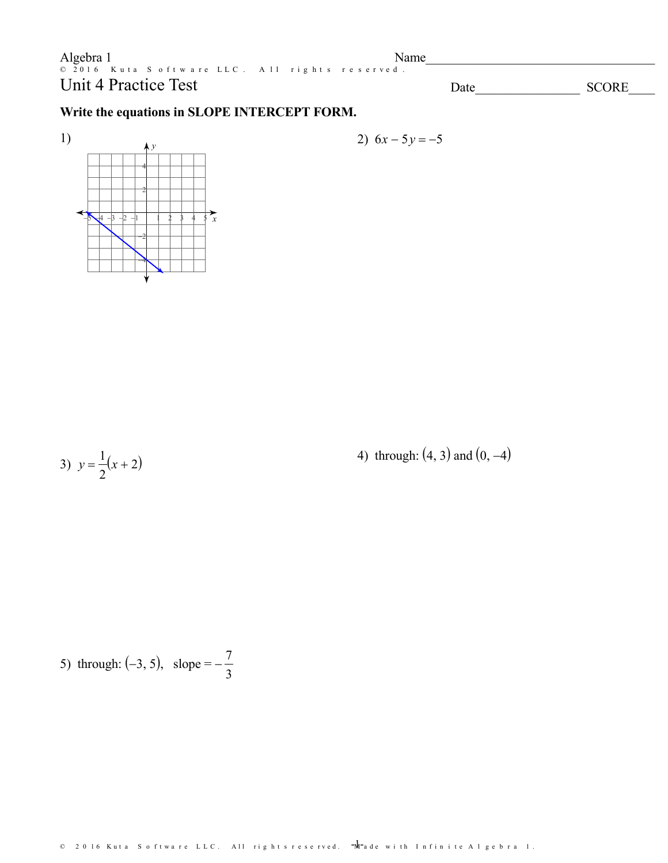$\begin{array}{lclclcl} \textbf{Algebra} & 1 & \textbf{N} & \textbf{N} & \textbf{N} & \textbf{N} & \textbf{N} & \textbf{N} & \textbf{N} & \textbf{N} & \textbf{N} & \textbf{N} & \textbf{N} & \textbf{N} & \textbf{N} & \textbf{N} & \textbf{N} & \textbf{N} & \textbf{N} & \textbf{N} & \textbf{N} & \textbf{N} & \textbf{N} & \textbf{N} & \textbf{N} & \textbf{N} & \textbf{N} & \textbf{N} & \textbf{N} & \textbf{N} & \textbf$ Name **Unit 4 Practice Test** 

**SCORE** Date

#### Write the equations in SLOPE INTERCEPT FORM.



$$
2) 6x-5y=-5
$$

3)  $y = \frac{1}{2}(x+2)$ 

4) through:  $(4, 3)$  and  $(0, -4)$ 

5) through: (-3, 5), slope =  $-\frac{7}{3}$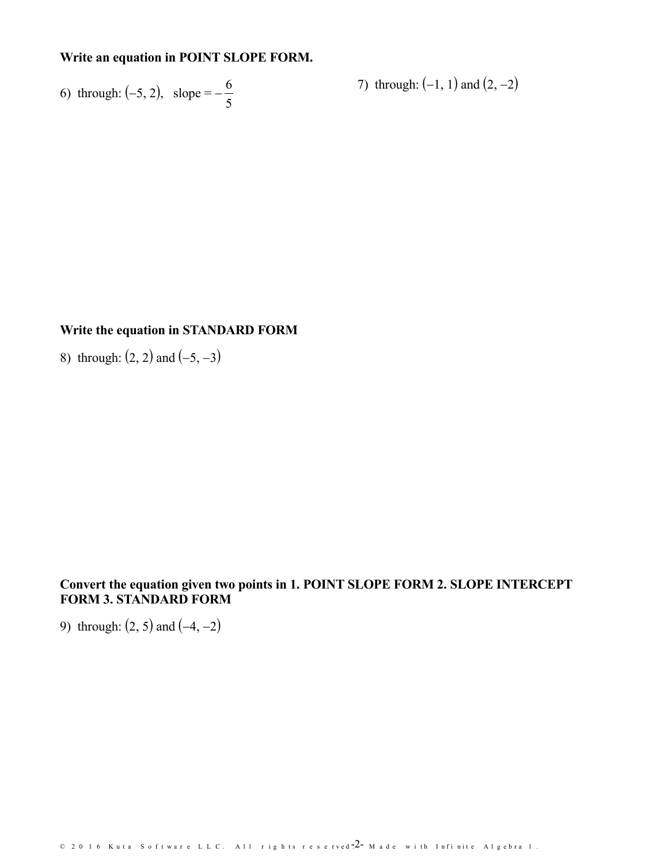## Write an equation in POINT SLOPE FORM.

6) through: (-5, 2), slope =  $-\frac{6}{5}$ 

7) through:  $(-1, 1)$  and  $(2, -2)$ 

#### Write the equation in STANDARD FORM

8) through:  $(2, 2)$  and  $(-5, -3)$ 

## Convert the equation given two points in 1. POINT SLOPE FORM 2. SLOPE INTERCEPT **FORM 3. STANDARD FORM**

9) through:  $(2, 5)$  and  $(-4, -2)$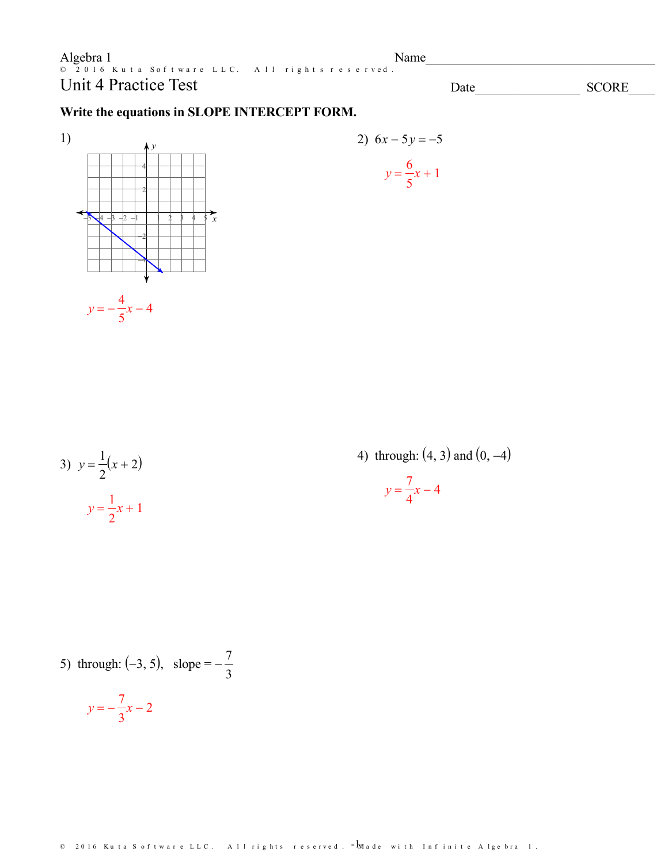Algebra 1 Name 2016 Kuta Software LLC. All rights reserved. **Unit 4 Practice Test** 

**SCORE** Date

## Write the equations in SLOPE INTERCEPT FORM.





| 3) $y = \frac{1}{2}(x+2)$ |  |
|---------------------------|--|
| $y = \frac{1}{2}x + 1$    |  |

4) through:  $(4, 3)$  and  $(0, -4)$  $y = \frac{7}{4}x - 4$ 

5) through: (-3, 5), slope =  $-\frac{7}{3}$ 

$$
y = -\frac{7}{3}x - 2
$$